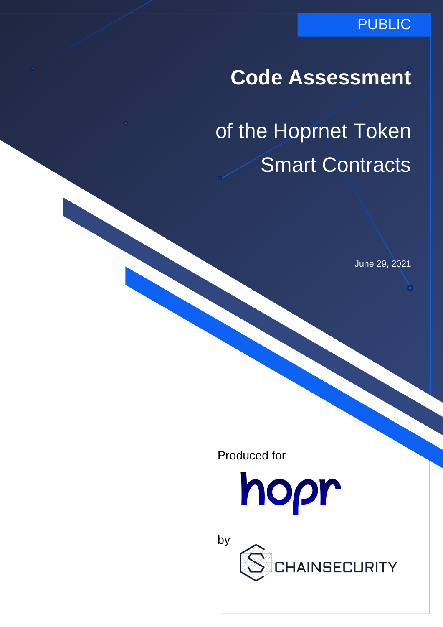### PUBLIC

## **Code Assessment**

of the Hoprnet Token Smart Contracts

June 29, 2021

Produced for

by



**INSECURITY**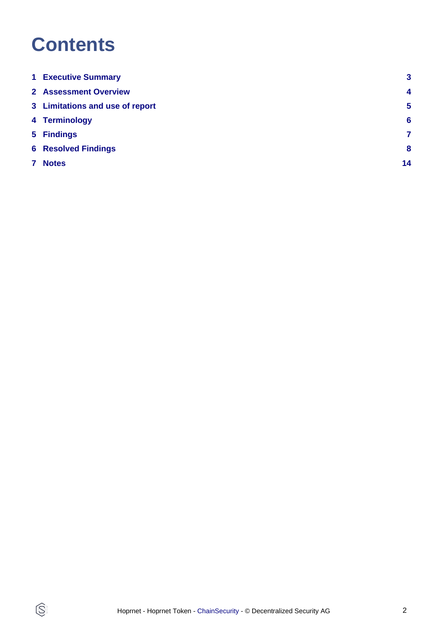## **Contents**

 $\circledS$ 

| <b>1 Executive Summary</b>      | $\mathbf{3}$    |
|---------------------------------|-----------------|
| <b>2 Assessment Overview</b>    | $\overline{4}$  |
| 3 Limitations and use of report | $\sqrt{5}$      |
| 4 Terminology                   | $6\phantom{1}6$ |
| 5 Findings                      | 7               |
| <b>6 Resolved Findings</b>      | 8               |
| <b>Notes</b>                    | 14              |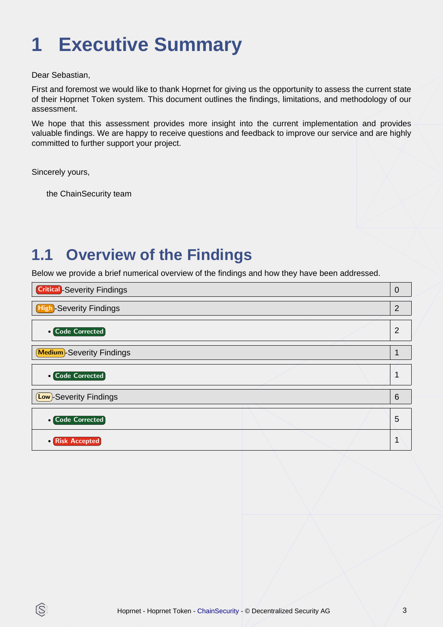# <span id="page-2-0"></span>**1 Executive Summary**

Dear Sebastian,

First and foremost we would like to thank Hoprnet for giving us the opportunity to assess the current state of their Hoprnet Token system. This document outlines the findings, limitations, and methodology of our assessment.

We hope that this assessment provides more insight into the current implementation and provides valuable findings. We are happy to receive questions and feedback to improve our service and are highly committed to further support your project.

Sincerely yours,

IS.

the ChainSecurity team

## **1.1 Overview of the Findings**

Below we provide a brief numerical overview of the findings and how they have been addressed.

| <b>Critical</b> -Severity Findings |  | $\Omega$ |
|------------------------------------|--|----------|
| <b>High-Severity Findings</b>      |  | 2        |
| <b>• Code Corrected</b>            |  | 2        |
| <b>Medium</b> -Severity Findings   |  |          |
| • Code Corrected                   |  |          |
| <b>Low</b> )-Severity Findings     |  | 6        |
| <b>Code Corrected</b>              |  | 5        |
| <b>Risk Accepted</b>               |  |          |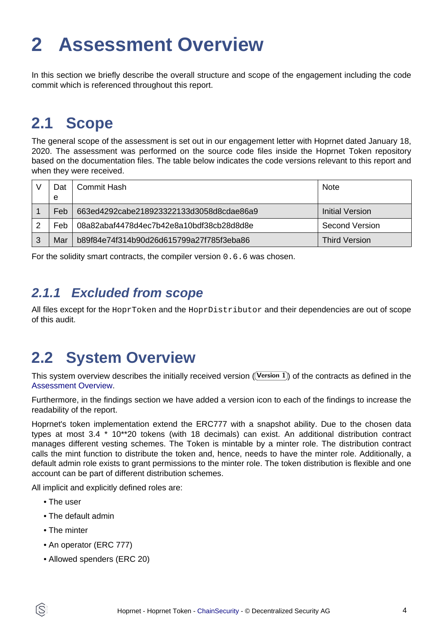# <span id="page-3-1"></span><span id="page-3-0"></span>**2 Assessment Overview**

In this section we briefly describe the overall structure and scope of the engagement including the code commit which is referenced throughout this report.

## **2.1 Scope**

The general scope of the assessment is set out in our engagement letter with Hoprnet dated January 18, 2020. The assessment was performed on the source code files inside the Hoprnet Token repository based on the documentation files. The table below indicates the code versions relevant to this report and when they were received.

|   | )at<br>e | Commit Hash                              | <b>Note</b>     |
|---|----------|------------------------------------------|-----------------|
|   | Feb      | 663ed4292cabe218923322133d3058d8cdae86a9 | Initial Version |
|   | Feb      | 08a82abaf4478d4ec7b42e8a10bdf38cb28d8d8e | Second Version  |
| 3 | Mar      | b89f84e74f314b90d26d615799a27f785f3eba86 | Third Version'  |

For the solidity smart contracts, the compiler version 0.6.6 was chosen.

### **2.1.1 Excluded from scope**

All files except for the HoprToken and the HoprDistributor and their dependencies are out of scope of this audit.

## **2.2 System Overview**

This system overview describes the initially received version ((Version 1)) of the contracts as defined in the [Assessment Overview](#page-3-1).

Furthermore, in the findings section we have added a version icon to each of the findings to increase the readability of the report.

Hoprnet's token implementation extend the ERC777 with a snapshot ability. Due to the chosen data types at most 3.4 \* 10\*\*20 tokens (with 18 decimals) can exist. An additional distribution contract manages different vesting schemes. The Token is mintable by a minter role. The distribution contract calls the mint function to distribute the token and, hence, needs to have the minter role. Additionally, a default admin role exists to grant permissions to the minter role. The token distribution is flexible and one account can be part of different distribution schemes.

All implicit and explicitly defined roles are:

- The user
- The default admin
- The minter

ÍŜ

- An operator (ERC 777)
- Allowed spenders (ERC 20)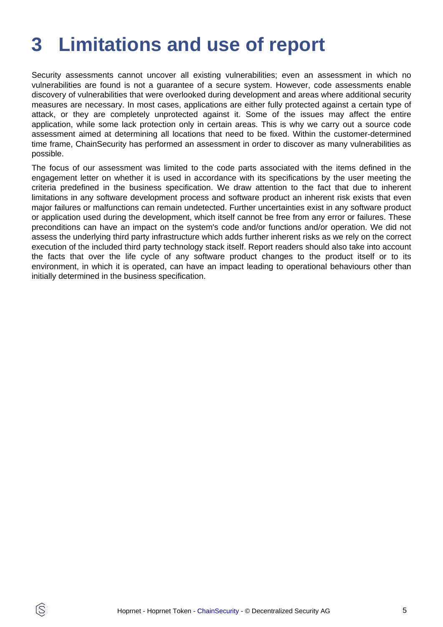## <span id="page-4-0"></span>**3 Limitations and use of report**

Security assessments cannot uncover all existing vulnerabilities; even an assessment in which no vulnerabilities are found is not a guarantee of a secure system. However, code assessments enable discovery of vulnerabilities that were overlooked during development and areas where additional security measures are necessary. In most cases, applications are either fully protected against a certain type of attack, or they are completely unprotected against it. Some of the issues may affect the entire application, while some lack protection only in certain areas. This is why we carry out a source code assessment aimed at determining all locations that need to be fixed. Within the customer-determined time frame, ChainSecurity has performed an assessment in order to discover as many vulnerabilities as possible.

The focus of our assessment was limited to the code parts associated with the items defined in the engagement letter on whether it is used in accordance with its specifications by the user meeting the criteria predefined in the business specification. We draw attention to the fact that due to inherent limitations in any software development process and software product an inherent risk exists that even major failures or malfunctions can remain undetected. Further uncertainties exist in any software product or application used during the development, which itself cannot be free from any error or failures. These preconditions can have an impact on the system's code and/or functions and/or operation. We did not assess the underlying third party infrastructure which adds further inherent risks as we rely on the correct execution of the included third party technology stack itself. Report readers should also take into account the facts that over the life cycle of any software product changes to the product itself or to its environment, in which it is operated, can have an impact leading to operational behaviours other than initially determined in the business specification.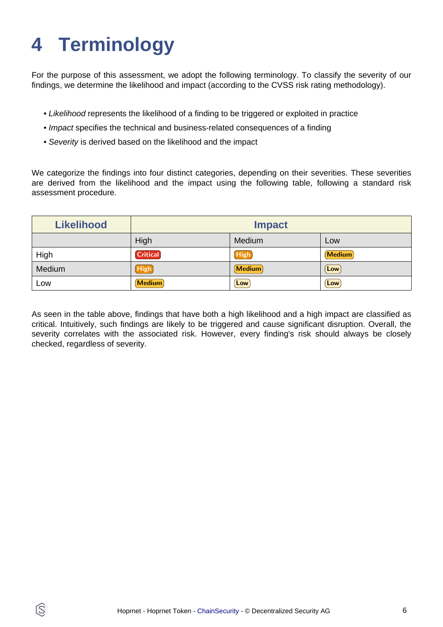# <span id="page-5-0"></span>**4 Terminology**

ĺS

For the purpose of this assessment, we adopt the following terminology. To classify the severity of our findings, we determine the likelihood and impact (according to the CVSS risk rating methodology).

- Likelihood represents the likelihood of a finding to be triggered or exploited in practice
- Impact specifies the technical and business-related consequences of a finding
- Severity is derived based on the likelihood and the impact

We categorize the findings into four distinct categories, depending on their severities. These severities are derived from the likelihood and the impact using the following table, following a standard risk assessment procedure.

| <b>Likelihood</b> | <b>Impact</b>   |             |               |
|-------------------|-----------------|-------------|---------------|
|                   | High            | Medium      | Low           |
| High              | <b>Critical</b> | High        | <b>Medium</b> |
| Medium            | <b>High</b>     | Medium      | Low           |
| LOW               | <b>Medium</b>   | $[$ Low $]$ | Low           |

As seen in the table above, findings that have both a high likelihood and a high impact are classified as critical. Intuitively, such findings are likely to be triggered and cause significant disruption. Overall, the severity correlates with the associated risk. However, every finding's risk should always be closely checked, regardless of severity.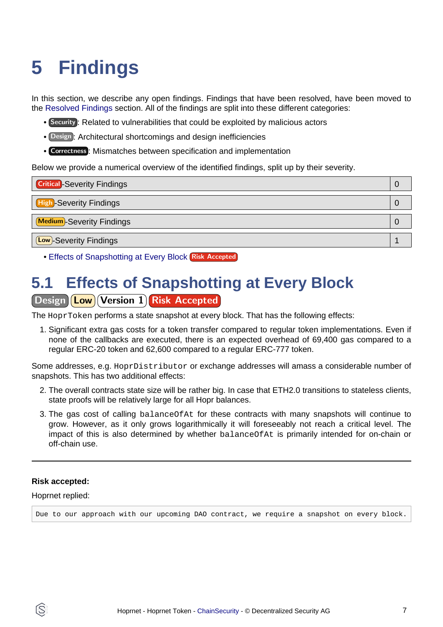# <span id="page-6-2"></span><span id="page-6-0"></span>**5 Findings**

In this section, we describe any open findings. Findings that have been resolved, have been moved to the [Resolved Findings](#page-7-1) section. All of the findings are split into these different categories:

- Security : Related to vulnerabilities that could be exploited by malicious actors
- Design : Architectural shortcomings and design inefficiencies
- Correctness : Mismatches between specification and implementation

Below we provide a numerical overview of the identified findings, split up by their severity.

| <b>Critical</b> -Severity Findings | Ü |
|------------------------------------|---|
| <b>High-Severity Findings</b>      | U |
| <b>Medium</b> -Severity Findings   |   |
| <b>Low</b> -Severity Findings      |   |

**• [Effects of Snapshotting at Every Block](#page-6-1) Risk Accepted** 

# <span id="page-6-1"></span>**5.1 Effects of Snapshotting at Every Block**

### Design **Low** Version 1 Risk Accepted

The HoprToken performs a state snapshot at every block. That has the following effects:

1. Significant extra gas costs for a token transfer compared to regular token implementations. Even if none of the callbacks are executed, there is an expected overhead of 69,400 gas compared to a regular ERC-20 token and 62,600 compared to a regular ERC-777 token.

Some addresses, e.g. HoprDistributor or exchange addresses will amass a considerable number of snapshots. This has two additional effects:

- 2. The overall contracts state size will be rather big. In case that ETH2.0 transitions to stateless clients, state proofs will be relatively large for all Hopr balances.
- 3. The gas cost of calling balanceOfAt for these contracts with many snapshots will continue to grow. However, as it only grows logarithmically it will foreseeably not reach a critical level. The impact of this is also determined by whether balanceOfAt is primarily intended for on-chain or off-chain use.

#### **Risk accepted:**

#### Hoprnet replied:

Due to our approach with our upcoming DAO contract, we require a snapshot on every block.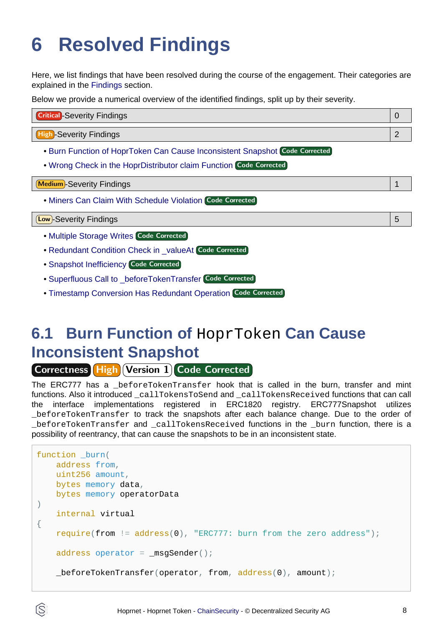# <span id="page-7-1"></span><span id="page-7-0"></span>**6 Resolved Findings**

Here, we list findings that have been resolved during the course of the engagement. Their categories are explained in the [Findings](#page-6-2) section.

Below we provide a numerical overview of the identified findings, split up by their severity.

| <b>Critical</b> -Severity Findings |  |
|------------------------------------|--|
|                                    |  |
| <b>High-Severity Findings</b>      |  |

- [Burn Function of HoprToken Can Cause Inconsistent Snapshot](#page-7-2) Code Corrected
- [Wrong Check in the HoprDistributor claim Function](#page-9-0) Code Corrected

Medium -Severity Findings 1

• [Miners Can Claim With Schedule Violation](#page-9-1) Code Corrected

#### Low -Severity Findings 5

- [Multiple Storage Writes](#page-10-0) Code Corrected
- [Redundant Condition Check in \\_valueAt](#page-10-1) Code Corrected
- [Snapshot Inefficiency](#page-11-0) Code Corrected
- [Superfluous Call to \\_beforeTokenTransfer](#page-11-1) Code Corrected
- [Timestamp Conversion Has Redundant Operation](#page-12-0) Code Corrected

## <span id="page-7-2"></span>**6.1 Burn Function of** HoprToken **Can Cause Inconsistent Snapshot**

**Correctness High Version 1 Code Corrected** 

The ERC777 has a \_beforeTokenTransfer hook that is called in the burn, transfer and mint functions. Also it introduced \_callTokensToSend and \_callTokensReceived functions that can call the interface implementations registered in ERC1820 registry. ERC777Snapshot utilizes \_beforeTokenTransfer to track the snapshots after each balance change. Due to the order of \_beforeTokenTransfer and \_callTokensReceived functions in the \_burn function, there is a possibility of reentrancy, that can cause the snapshots to be in an inconsistent state.

```
function burn(
     address from,
    uint256 amount,
    bytes memory data,
    bytes memory operatorData
)
     internal virtual
{
     require(from != address(0), "ERC777: burn from the zero address");
    address operator = _msgSender();
     _beforeTokenTransfer(operator, from, address(0), amount);
```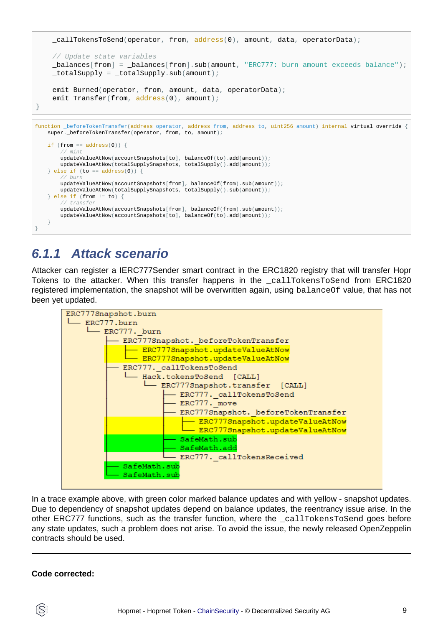

### **6.1.1 Attack scenario**

Attacker can register a IERC777Sender smart contract in the ERC1820 registry that will transfer Hopr Tokens to the attacker. When this transfer happens in the \_callTokensToSend from ERC1820 registered implementation, the snapshot will be overwritten again, using balanceOf value, that has not been yet updated.



In a trace example above, with green color marked balance updates and with yellow - snapshot updates. Due to dependency of snapshot updates depend on balance updates, the reentrancy issue arise. In the other ERC777 functions, such as the transfer function, where the \_callTokensToSend goes before any state updates, such a problem does not arise. To avoid the issue, the newly released OpenZeppelin contracts should be used.

#### **Code corrected:**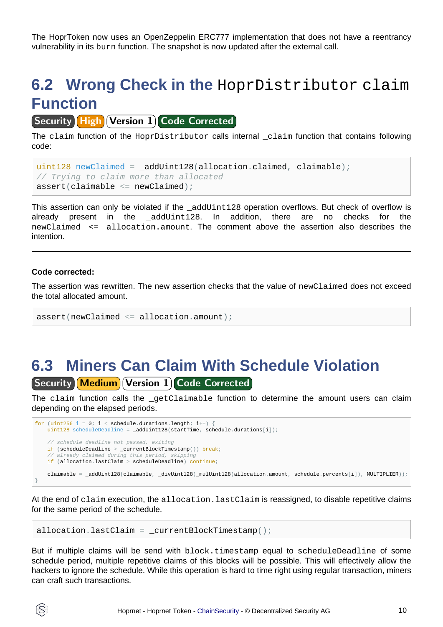The HoprToken now uses an OpenZeppelin ERC777 implementation that does not have a reentrancy vulnerability in its burn function. The snapshot is now updated after the external call.

## <span id="page-9-0"></span>**6.2 Wrong Check in the** HoprDistributor claim **Function**

**Security High Version 1 Code Corrected** 

The claim function of the HoprDistributor calls internal \_claim function that contains following code:

```
uint128 newClaimed = _addUint128(allocation.claimed, claimable);
// Trying to claim more than allocated
assert(clainable \leq newClaimed);
```
This assertion can only be violated if the \_addUint128 operation overflows. But check of overflow is already present in the addUint128. In addition, there are no checks for the newClaimed <= allocation.amount. The comment above the assertion also describes the intention.

#### **Code corrected:**

The assertion was rewritten. The new assertion checks that the value of newClaimed does not exceed the total allocated amount.

```
assert(newClaimed <= allocation.amount);
```
### <span id="page-9-1"></span>**6.3 Miners Can Claim With Schedule Violation** [Security] Medium] Version 1] Code Corrected

The claim function calls the \_getClaimable function to determine the amount users can claim depending on the elapsed periods.

```
for (uint256 i = 0; i < schedule.durations.length; i++) {
   uint128 scheduleDeadline = _{addUnit128(statTime, schedule.durations[i])};schedule deadline not passed, exiting
    if (scheduleDeadline > _currentBlockTimestamp()) break;
     // already claimed during this period, skipping
    if (allocation.lastClaim > scheduleDeadline) continue;
    claimable = _addUint128(claimable, _divUint128(_mulUint128(allocation.amount, schedule.percents[i]), MULTIPLIER));
}
```
At the end of claim execution, the allocation. last Claim is reassigned, to disable repetitive claims for the same period of the schedule.

```
allocation.lastClaim = _{\text{currentBlockTimestamp()}};
```
But if multiple claims will be send with block.timestamp equal to scheduleDeadline of some schedule period, multiple repetitive claims of this blocks will be possible. This will effectively allow the hackers to ignore the schedule. While this operation is hard to time right using regular transaction, miners can craft such transactions.

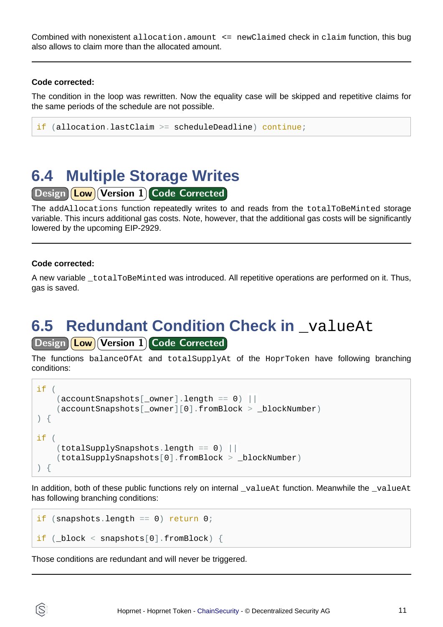Combined with nonexistent allocation.amount <= newClaimed check in claim function, this bug also allows to claim more than the allocated amount.

#### **Code corrected:**

The condition in the loop was rewritten. Now the equality case will be skipped and repetitive claims for the same periods of the schedule are not possible.

```
if (allocation.lastClaim >= scheduleDeadline) continue;
```
### <span id="page-10-0"></span>**6.4 Multiple Storage Writes**

Design Low Version 1 Code Corrected

The addAllocations function repeatedly writes to and reads from the totalToBeMinted storage variable. This incurs additional gas costs. Note, however, that the additional gas costs will be significantly lowered by the upcoming EIP-2929.

#### **Code corrected:**

A new variable \_totalToBeMinted was introduced. All repetitive operations are performed on it. Thus, gas is saved.

## <span id="page-10-1"></span>**6.5 Redundant Condition Check in \_valueAt**

### Design **Low** Version 1 Code Corrected

The functions balanceOfAt and totalSupplyAt of the HoprToken have following branching conditions:

```
if (
    (\text{accountSnapshots}[\text{downer}].length == 0) (accountSnapshots[_owner][0].fromBlock > _blockNumber)
) {
if (
     (totalSupplySnapshots.length == 0) ||
     (totalSupplySnapshots[0].fromBlock > _blockNumber)
) {
```
In addition, both of these public functions rely on internal  $\bar{v}$  valueAt function. Meanwhile the  $\bar{v}$  valueAt has following branching conditions:

```
if (snapshots.length == 0) return 0;
if (block < snapshots[0].fromBlock) {
```
Those conditions are redundant and will never be triggered.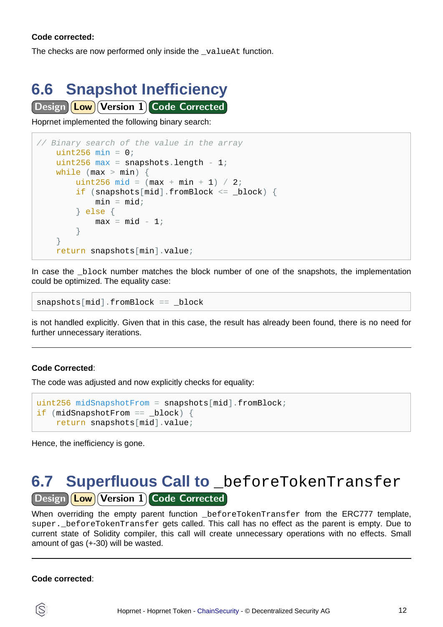#### **Code corrected:**

The checks are now performed only inside the \_valueAt function.

# <span id="page-11-0"></span>**6.6 Snapshot Inefficiency**

Design **Low** Version 1 Code Corrected

Hoprnet implemented the following binary search:

```
// Binary search of the value in the array
   uint256 min = 0;uint256 max = snapshots.length - 1iwhile (max > min) {
       uint256 mid = (max + min + 1) / 2iif (snapshots[mid] .fromBlock \leq - block)min = mid; } else {
           max = mid - 1;
 }
     }
    return snapshots[min].value;
```
In case the block number matches the block number of one of the snapshots, the implementation could be optimized. The equality case:

snapshots[mid].fromBlock == \_block

is not handled explicitly. Given that in this case, the result has already been found, there is no need for further unnecessary iterations.

#### **Code Corrected**:

The code was adjusted and now explicitly checks for equality:

```
uint256 midSnapshotFrom = snapshots[mid].fromBlock;
if (midSnapshotFrom == block) {
     return snapshots[mid].value;
```
Hence, the inefficiency is gone.

### <span id="page-11-1"></span>**6.7 Superfluous Call to** \_beforeTokenTransfer Design **Low** Version 1 Code Corrected

When overriding the empty parent function \_beforeTokenTransfer from the ERC777 template, super. beforeTokenTransfer gets called. This call has no effect as the parent is empty. Due to current state of Solidity compiler, this call will create unnecessary operations with no effects. Small amount of gas (+-30) will be wasted.

#### **Code corrected**: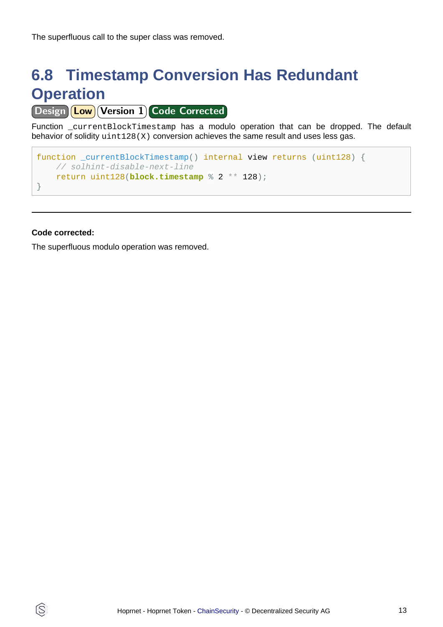The superfluous call to the super class was removed.

## <span id="page-12-0"></span>**6.8 Timestamp Conversion Has Redundant Operation**

Design **Low** Version 1 Code Corrected

Function currentBlockTimestamp has a modulo operation that can be dropped. The default behavior of solidity uint128(X) conversion achieves the same result and uses less gas.

```
function _currentBlockTimestamp() internal view returns (uint128) {
    // solhint-disable-next-line
    return uint128(block.timestamp % 2 ** 128);
}
```
#### **Code corrected:**

IS.

The superfluous modulo operation was removed.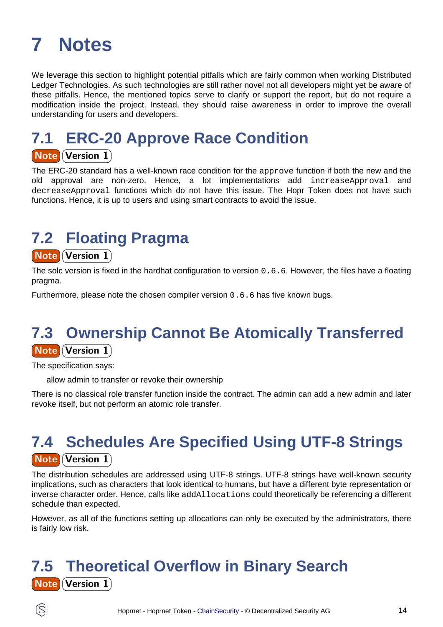# <span id="page-13-0"></span>**7 Notes**

We leverage this section to highlight potential pitfalls which are fairly common when working Distributed Ledger Technologies. As such technologies are still rather novel not all developers might yet be aware of these pitfalls. Hence, the mentioned topics serve to clarify or support the report, but do not require a modification inside the project. Instead, they should raise awareness in order to improve the overall understanding for users and developers.

## **7.1 ERC-20 Approve Race Condition**

### **Note Version 1**

The ERC-20 standard has a well-known race condition for the approve function if both the new and the old approval are non-zero. Hence, a lot implementations add increaseApproval and decreaseApproval functions which do not have this issue. The Hopr Token does not have such functions. Hence, it is up to users and using smart contracts to avoid the issue.

## **7.2 Floating Pragma**

#### **Note Version 1**

The solc version is fixed in the hardhat configuration to version 0.6.6. However, the files have a floating pragma.

Furthermore, please note the chosen compiler version 0.6.6 has five known bugs.

### **7.3 Ownership Cannot Be Atomically Transferred** Note Version 1

The specification says:

allow admin to transfer or revoke their ownership

There is no classical role transfer function inside the contract. The admin can add a new admin and later revoke itself, but not perform an atomic role transfer.

## **7.4 Schedules Are Specified Using UTF-8 Strings Note Version 1**

The distribution schedules are addressed using UTF-8 strings. UTF-8 strings have well-known security implications, such as characters that look identical to humans, but have a different byte representation or inverse character order. Hence, calls like addAllocations could theoretically be referencing a different schedule than expected.

However, as all of the functions setting up allocations can only be executed by the administrators, there is fairly low risk.

## **7.5 Theoretical Overflow in Binary Search Note Version 1**